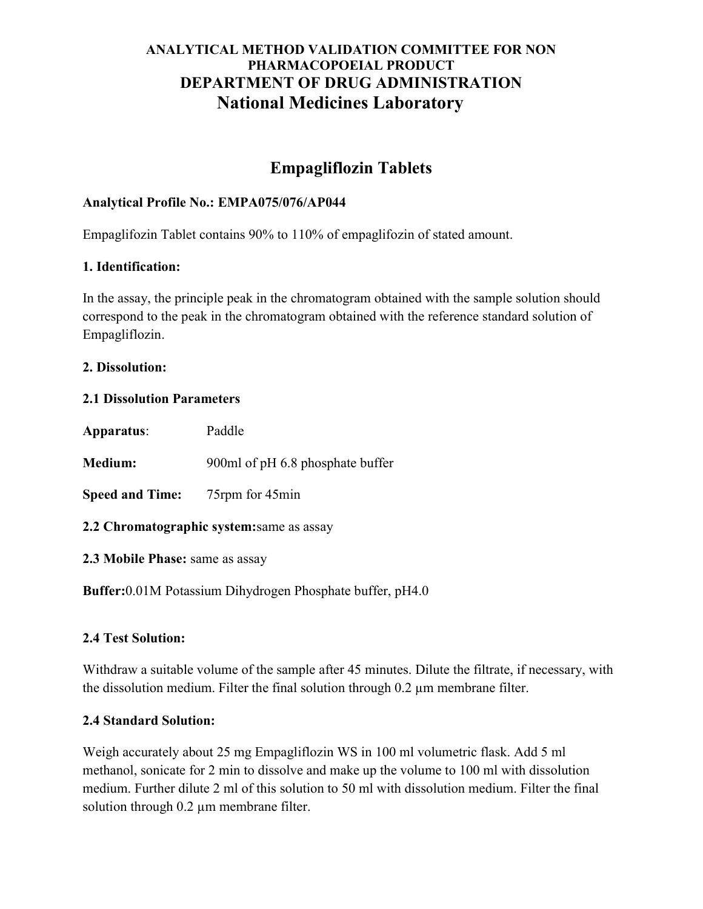## ANALYTICAL METHOD VALIDATION COMMITTEE FOR NON PHARMACOPOEIAL PRODUCT DEPARTMENT OF DRUG ADMINISTRATION National Medicines Laboratory

# Empagliflozin Tablets

## Analytical Profile No.: EMPA075/076/AP044

Empaglifozin Tablet contains 90% to 110% of empaglifozin of stated amount.

### 1. Identification:

In the assay, the principle peak in the chromatogram obtained with the sample solution should correspond to the peak in the chromatogram obtained with the reference standard solution of Empagliflozin.

#### 2. Dissolution:

#### 2.1 Dissolution Parameters

| Apparatus:                                | Paddle                           |
|-------------------------------------------|----------------------------------|
| <b>Medium:</b>                            | 900ml of pH 6.8 phosphate buffer |
| <b>Speed and Time:</b>                    | 75rpm for 45min                  |
| 2.2 Chromatographic system: same as assay |                                  |
| 2.3 Mobile Phase: same as assay           |                                  |

Buffer:0.01M Potassium Dihydrogen Phosphate buffer, pH4.0

## 2.4 Test Solution:

Withdraw a suitable volume of the sample after 45 minutes. Dilute the filtrate, if necessary, with the dissolution medium. Filter the final solution through 0.2 µm membrane filter.

#### 2.4 Standard Solution:

Weigh accurately about 25 mg Empagliflozin WS in 100 ml volumetric flask. Add 5 ml methanol, sonicate for 2 min to dissolve and make up the volume to 100 ml with dissolution medium. Further dilute 2 ml of this solution to 50 ml with dissolution medium. Filter the final solution through 0.2 µm membrane filter.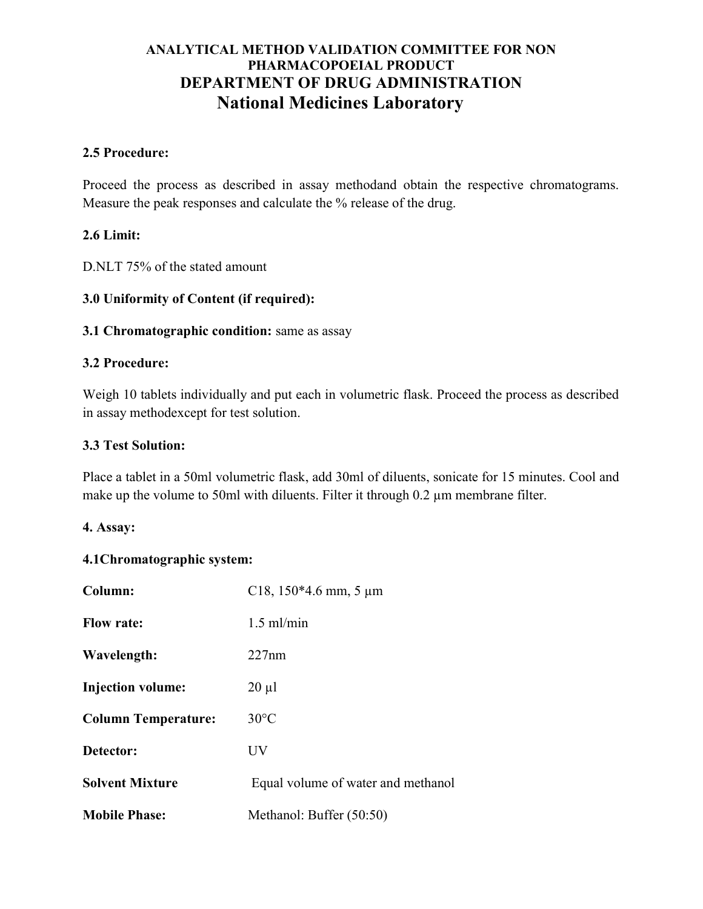## ANALYTICAL METHOD VALIDATION COMMITTEE FOR NON PHARMACOPOEIAL PRODUCT DEPARTMENT OF DRUG ADMINISTRATION National Medicines Laboratory

### 2.5 Procedure:

Proceed the process as described in assay methodand obtain the respective chromatograms. Measure the peak responses and calculate the % release of the drug.

## 2.6 Limit:

D.NLT 75% of the stated amount

## 3.0 Uniformity of Content (if required):

## 3.1 Chromatographic condition: same as assay

## 3.2 Procedure:

Weigh 10 tablets individually and put each in volumetric flask. Proceed the process as described in assay methodexcept for test solution.

### 3.3 Test Solution:

Place a tablet in a 50ml volumetric flask, add 30ml of diluents, sonicate for 15 minutes. Cool and make up the volume to 50ml with diluents. Filter it through 0.2 µm membrane filter.

#### 4. Assay:

## 4.1Chromatographic system:

| Column:                    | C18, $150*4.6$ mm, 5 µm            |
|----------------------------|------------------------------------|
| <b>Flow rate:</b>          | $1.5$ ml/min                       |
| Wavelength:                | 227nm                              |
| <b>Injection volume:</b>   | $20 \mu l$                         |
| <b>Column Temperature:</b> | $30^{\circ}$ C                     |
| Detector:                  | UV                                 |
| <b>Solvent Mixture</b>     | Equal volume of water and methanol |
| <b>Mobile Phase:</b>       | Methanol: Buffer (50:50)           |